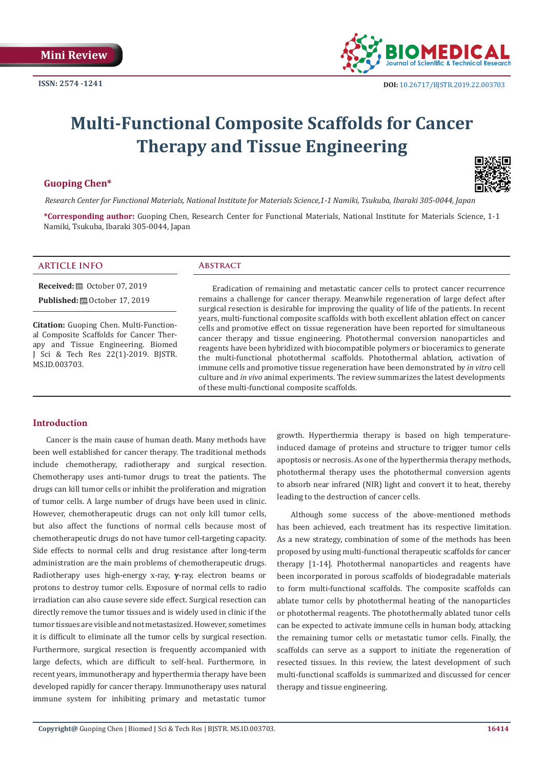

# **Multi-Functional Composite Scaffolds for Cancer Therapy and Tissue Engineering**

# **Guoping Chen\***

*Research Center for Functional Materials, National Institute for Materials Science,1-1 Namiki, Tsukuba, Ibaraki 305-0044, Japan*

**\*Corresponding author:** Guoping Chen, Research Center for Functional Materials, National Institute for Materials Science, 1-1 Namiki, Tsukuba, Ibaraki 305-0044, Japan

#### **ARTICLE INFO Abstract**

**Received:** ■ October 07, 2019

**Published:**  $①$  October 17, 2019

**Citation:** Guoping Chen. Multi-Functional Composite Scaffolds for Cancer Therapy and Tissue Engineering. Biomed J Sci & Tech Res 22(1)-2019. BJSTR. MS.ID.003703.

Eradication of remaining and metastatic cancer cells to protect cancer recurrence remains a challenge for cancer therapy. Meanwhile regeneration of large defect after surgical resection is desirable for improving the quality of life of the patients. In recent years, multi-functional composite scaffolds with both excellent ablation effect on cancer cells and promotive effect on tissue regeneration have been reported for simultaneous cancer therapy and tissue engineering. Photothermal conversion nanoparticles and reagents have been hybridized with biocompatible polymers or bioceramics to generate the multi-functional photothermal scaffolds. Photothermal ablation, activation of immune cells and promotive tissue regeneration have been demonstrated by *in vitro* cell culture and *in vivo* animal experiments. The review summarizes the latest developments of these multi-functional composite scaffolds.

# **Introduction**

Cancer is the main cause of human death. Many methods have been well established for cancer therapy. The traditional methods include chemotherapy, radiotherapy and surgical resection. Chemotherapy uses anti-tumor drugs to treat the patients. The drugs can kill tumor cells or inhibit the proliferation and migration of tumor cells. A large number of drugs have been used in clinic. However, chemotherapeutic drugs can not only kill tumor cells, but also affect the functions of normal cells because most of chemotherapeutic drugs do not have tumor cell-targeting capacity. Side effects to normal cells and drug resistance after long-term administration are the main problems of chemotherapeutic drugs. Radiotherapy uses high-energy x-ray, **γ**-ray, electron beams or protons to destroy tumor cells. Exposure of normal cells to radio irradiation can also cause severe side effect. Surgical resection can directly remove the tumor tissues and is widely used in clinic if the tumor tissues are visible and not metastasized. However, sometimes it is difficult to eliminate all the tumor cells by surgical resection. Furthermore, surgical resection is frequently accompanied with large defects, which are difficult to self-heal. Furthermore, in recent years, immunotherapy and hyperthermia therapy have been developed rapidly for cancer therapy. Immunotherapy uses natural immune system for inhibiting primary and metastatic tumor

growth. Hyperthermia therapy is based on high temperatureinduced damage of proteins and structure to trigger tumor cells apoptosis or necrosis. As one of the hyperthermia therapy methods, photothermal therapy uses the photothermal conversion agents to absorb near infrared (NIR) light and convert it to heat, thereby leading to the destruction of cancer cells.

Although some success of the above-mentioned methods has been achieved, each treatment has its respective limitation. As a new strategy, combination of some of the methods has been proposed by using multi-functional therapeutic scaffolds for cancer therapy [1-14]. Photothermal nanoparticles and reagents have been incorporated in porous scaffolds of biodegradable materials to form multi-functional scaffolds. The composite scaffolds can ablate tumor cells by photothermal heating of the nanoparticles or photothermal reagents. The photothermally ablated tunor cells can be expected to activate immune cells in human body, attacking the remaining tumor cells or metastatic tumor cells. Finally, the scaffolds can serve as a support to initiate the regeneration of resected tissues. In this review, the latest development of such multi-functional scaffolds is summarized and discussed for cencer therapy and tissue engineering.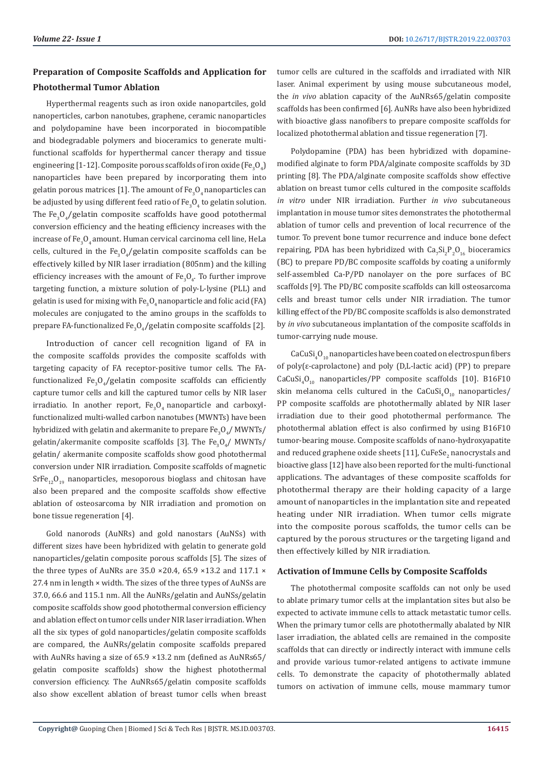# **Preparation of Composite Scaffolds and Application for Photothermal Tumor Ablation**

Hyperthermal reagents such as iron oxide nanopartciles, gold nanoperticles, carbon nanotubes, graphene, ceramic nanoparticles and polydopamine have been incorporated in biocompatible and biodegradable polymers and bioceramics to generate multifunctional scaffolds for hyperthermal cancer therapy and tissue engineering [1-12]. Composite porous scaffolds of iron oxide (Fe<sub>3</sub>O<sub>4</sub>) nanoparticles have been prepared by incorporating them into gelatin porous matrices [1]. The amount of Fe $_{3}$ O<sub>4</sub> nanoparticles can be adjusted by using different feed ratio of  $\text{Fe}_{\text{3}}\text{O}_{\text{4}}$  to gelatin solution. The  $Fe_{3}O_{4}/$ gelatin composite scaffolds have good potothermal conversion efficiency and the heating efficiency increases with the increase of Fe $_{3}^{{\rm o}}$ Q amount. Human cervical carcinoma cell line, HeLa cells, cultured in the  $Fe_{3}O_{4}/$ gelatin composite scaffolds can be effectively killed by NIR laser irradiation (805nm) and the killing efficiency increases with the amount of  $Fe_{3}O_{4}$ . To further improve targeting function, a mixture solution of poly-L-lysine (PLL) and gelatin is used for mixing with  $\text{Fe}_{3}\text{O}_{4}$ nanoparticle and folic acid (FA) molecules are conjugated to the amino groups in the scaffolds to prepare FA-functionalized Fe<sub>3</sub>O<sub>4</sub>/gelatin composite scaffolds [2].

Introduction of cancer cell recognition ligand of FA in the composite scaffolds provides the composite scaffolds with targeting capacity of FA receptor-positive tumor cells. The FAfunctionalized Fe<sub>3</sub>O<sub>4</sub>/gelatin composite scaffolds can efficiently capture tumor cells and kill the captured tumor cells by NIR laser irradiatio. In another report,  $Fe_{3}O_{4}$  nanoparticle and carboxylfunctionalized multi-walled carbon nanotubes (MWNTs) have been hybridized with gelatin and akermanite to prepare  $\mathrm{Fe_{3}O_{4}}$ /MWNTs/ gelatin/akermanite composite scaffolds [3]. The  $Fe_{3}O_{4}/$  MWNTs/ gelatin/ akermanite composite scaffolds show good photothermal conversion under NIR irradiation. Composite scaffolds of magnetic  $SrFe_{12}O_{10}$  nanoparticles, mesoporous bioglass and chitosan have also been prepared and the composite scaffolds show effective ablation of osteosarcoma by NIR irradiation and promotion on bone tissue regeneration [4].

Gold nanorods (AuNRs) and gold nanostars (AuNSs) with different sizes have been hybridized with gelatin to generate gold nanoparticles/gelatin composite porous scaffolds [5]. The sizes of the three types of AuNRs are 35.0 ×20.4, 65.9 ×13.2 and 117.1 × 27.4 nm in length × width. The sizes of the three types of AuNSs are 37.0, 66.6 and 115.1 nm. All the AuNRs/gelatin and AuNSs/gelatin composite scaffolds show good photothermal conversion efficiency and ablation effect on tumor cells under NIR laser irradiation. When all the six types of gold nanoparticles/gelatin composite scaffolds are compared, the AuNRs/gelatin composite scaffolds prepared with AuNRs having a size of 65.9 ×13.2 nm (defined as AuNRs65/ gelatin composite scaffolds) show the highest photothermal conversion efficiency. The AuNRs65/gelatin composite scaffolds also show excellent ablation of breast tumor cells when breast

tumor cells are cultured in the scaffolds and irradiated with NIR laser. Animal experiment by using mouse subcutaneous model, the *in vivo* ablation capacity of the AuNRs65/gelatin composite scaffolds has been confirmed [6]. AuNRs have also been hybridized with bioactive glass nanofibers to prepare composite scaffolds for localized photothermal ablation and tissue regeneration [7].

Polydopamine (PDA) has been hybridized with dopaminemodified alginate to form PDA/alginate composite scaffolds by 3D printing [8]. The PDA/alginate composite scaffolds show effective ablation on breast tumor cells cultured in the composite scaffolds *in vitro* under NIR irradiation. Further *in vivo* subcutaneous implantation in mouse tumor sites demonstrates the photothermal ablation of tumor cells and prevention of local recurrence of the tumor. To prevent bone tumor recurrence and induce bone defect repairing, PDA has been hybridized with  $Ca_7Si_2P_2O_{16}$  bioceramics (BC) to prepare PD/BC composite scaffolds by coating a uniformly self-assembled Ca-P/PD nanolayer on the pore surfaces of BC scaffolds [9]. The PD/BC composite scaffolds can kill osteosarcoma cells and breast tumor cells under NIR irradiation. The tumor killing effect of the PD/BC composite scaffolds is also demonstrated by *in vivo* subcutaneous implantation of the composite scaffolds in tumor-carrying nude mouse.

 $\rm CaCuSi_4O_{10}$  nanoparticles have been coated on electrospun fibers of poly(ε-caprolactone) and poly (D,L-lactic acid) (PP) to prepare  $CaCuSi<sub>4</sub>O<sub>10</sub>$  nanoparticles/PP composite scaffolds [10]. B16F10 skin melanoma cells cultured in the  $\text{CaCuSi}_4\text{O}_{10}$  nanoparticles/ PP composite scaffolds are photothermally ablated by NIR laser irradiation due to their good photothermal performance. The photothermal ablation effect is also confirmed by using B16F10 tumor-bearing mouse. Composite scaffolds of nano-hydroxyapatite and reduced graphene oxide sheets [11], CuFeSe $_2$  nanocrystals and bioactive glass [12] have also been reported for the multi-functional applications. The advantages of these composite scaffolds for photothermal therapy are their holding capacity of a large amount of nanoparticles in the implantation site and repeated heating under NIR irradiation. When tumor cells migrate into the composite porous scaffolds, the tumor cells can be captured by the porous structures or the targeting ligand and then effectively killed by NIR irradiation.

#### **Activation of Immune Cells by Composite Scaffolds**

The photothermal composite scaffolds can not only be used to ablate primary tumor cells at the implantation sites but also be expected to activate immune cells to attack metastatic tumor cells. When the primary tumor cells are photothermally abalated by NIR laser irradiation, the ablated cells are remained in the composite scaffolds that can directly or indirectly interact with immune cells and provide various tumor-related antigens to activate immune cells. To demonstrate the capacity of photothermally ablated tumors on activation of immune cells, mouse mammary tumor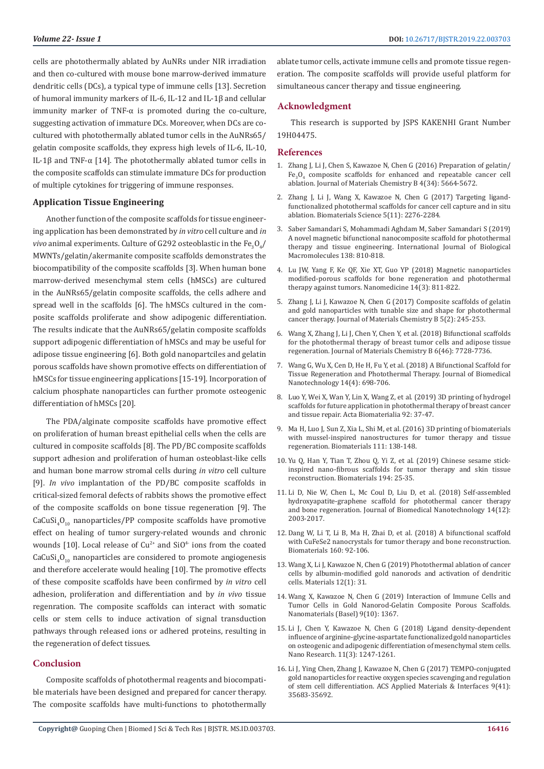cells are photothermally ablated by AuNRs under NIR irradiation and then co-cultured with mouse bone marrow-derived immature dendritic cells (DCs), a typical type of immune cells [13]. Secretion of humoral immunity markers of IL-6, IL-12 and IL-1β and cellular immunity marker of TNF- $\alpha$  is promoted during the co-culture, suggesting activation of immature DCs. Moreover, when DCs are cocultured with photothermally ablated tumor cells in the AuNRs65/ gelatin composite scaffolds, they express high levels of IL-6, IL-10, IL-1β and TNF-α [14]. The photothermally ablated tumor cells in the composite scaffolds can stimulate immature DCs for production of multiple cytokines for triggering of immune responses.

#### **Application Tissue Engineering**

Another function of the composite scaffolds for tissue engineering application has been demonstrated by *in vitro* cell culture and *in vivo* animal experiments. Culture of G292 osteoblastic in the  $\text{Fe}_3\text{O}_4/\text{}$ MWNTs/gelatin/akermanite composite scaffolds demonstrates the biocompatibility of the composite scaffolds [3]. When human bone marrow-derived mesenchymal stem cells (hMSCs) are cultured in the AuNRs65/gelatin composite scaffolds, the cells adhere and spread well in the scaffolds [6]. The hMSCs cultured in the composite scaffolds proliferate and show adipogenic differentiation. The results indicate that the AuNRs65/gelatin composite scaffolds support adipogenic differentiation of hMSCs and may be useful for adipose tissue engineering [6]. Both gold nanopartciles and gelatin porous scaffolds have shown promotive effects on differentiation of hMSCs for tissue engineering applications [15-19]. Incorporation of calcium phosphate nanoparticles can further promote osteogenic differentiation of hMSCs [20].

The PDA/alginate composite scaffolds have promotive effect on proliferation of human breast epithelial cells when the cells are cultured in composite scaffolds [8]. The PD/BC composite scaffolds support adhesion and proliferation of human osteoblast-like cells and human bone marrow stromal cells during *in vitro* cell culture [9]. *In vivo* implantation of the PD/BC composite scaffolds in critical-sized femoral defects of rabbits shows the promotive effect of the composite scaffolds on bone tissue regeneration [9]. The  $CaCuSi<sub>4</sub>O<sub>10</sub>$  nanoparticles/PP composite scaffolds have promotive effect on healing of tumor surgery-related wounds and chronic wounds [10]. Local release of  $Cu^{2+}$  and  $SiO^{4-}$  ions from the coated  $\text{CaCuSi}_4\text{O}_{10}$  nanoparticles are considered to promote angiogenesis and therefore accelerate would healing [10]. The promotive effects of these composite scaffolds have been confirmed by *in vitro* cell adhesion, proliferation and differentiation and by *in vivo* tissue regenration. The composite scaffolds can interact with somatic cells or stem cells to induce activation of signal transduction pathways through released ions or adhered proteins, resulting in the regeneration of defect tissues.

## **Conclusion**

Composite scaffolds of photothermal reagents and biocompatible materials have been designed and prepared for cancer therapy. The composite scaffolds have multi-functions to photothermally

ablate tumor cells, activate immune cells and promote tissue regeneration. The composite scaffolds will provide useful platform for simultaneous cancer therapy and tissue engineering.

#### **Acknowledgment**

This research is supported by JSPS KAKENHI Grant Number 19H04475.

#### **References**

- 1. [Zhang J, Li J, Chen S, Kawazoe N, Chen G \(2016\) Preparation of gelatin/](https://pubs.rsc.org/en/content/articlelanding/2016/tb/c6tb01543c) Fe<sub>3</sub>O<sub>4</sub> [composite scaffolds for enhanced and repeatable cancer cell](https://pubs.rsc.org/en/content/articlelanding/2016/tb/c6tb01543c) [ablation. Journal of Materials Chemistry B 4\(34\): 5664-5672.](https://pubs.rsc.org/en/content/articlelanding/2016/tb/c6tb01543c)
- 2. [Zhang J, Li J, Wang X, Kawazoe N, Chen G \(2017\) Targeting ligand](https://www.ncbi.nlm.nih.gov/pubmed/28994425)[functionalized photothermal scaffolds for cancer cell capture and in situ](https://www.ncbi.nlm.nih.gov/pubmed/28994425) [ablation. Biomaterials Science 5\(11\): 2276-2284.](https://www.ncbi.nlm.nih.gov/pubmed/28994425)
- 3. [Saber Samandari S, Mohammadi Aghdam M, Saber Samandari S \(2019\)](https://europepmc.org/abstract/med/31351955) [A novel magnetic bifunctional nanocomposite scaffold for photothermal](https://europepmc.org/abstract/med/31351955) [therapy and tissue engineering. International Journal of Biological](https://europepmc.org/abstract/med/31351955) [Macromolecules 138: 810-818.](https://europepmc.org/abstract/med/31351955)
- 4. [Lu JW, Yang F, Ke QF, Xie XT, Guo YP \(2018\) Magnetic nanoparticles](https://www.ncbi.nlm.nih.gov/pubmed/29339189) [modified-porous scaffolds for bone regeneration and photothermal](https://www.ncbi.nlm.nih.gov/pubmed/29339189) [therapy against tumors. Nanomedicine 14\(3\): 811-822.](https://www.ncbi.nlm.nih.gov/pubmed/29339189)
- 5. Zhang J, Li J, Kawazoe N, Chen G (2017) Composite scaffolds of gelatin and gold nanoparticles with tunable size and shape for photothermal cancer therapy. Journal of Materials Chemistry B 5(2): 245-253.
- 6. Wang X, Zhang J, Li J, Chen Y, Chen Y, et al. (2018) Bifunctional scaffolds for the photothermal therapy of breast tumor cells and adipose tissue regeneration. Journal of Materials Chemistry B 6(46): 7728-7736.
- 7. [Wang G, Wu X, Cen D, He H, Fu Y, et al. \(2018\) A Bifunctional Scaffold for](https://www.researchgate.net/publication/325627166_A_Bifunctional_Scaffold_for_Tissue_Regeneration_and_Photothermal_Therapy) [Tissue Regeneration and Photothermal Therapy. Journal of Biomedical](https://www.researchgate.net/publication/325627166_A_Bifunctional_Scaffold_for_Tissue_Regeneration_and_Photothermal_Therapy) [Nanotechnology 14\(4\): 698-706.](https://www.researchgate.net/publication/325627166_A_Bifunctional_Scaffold_for_Tissue_Regeneration_and_Photothermal_Therapy)
- 8. [Luo Y, Wei X, Wan Y, Lin X, Wang Z, et al. \(2019\) 3D printing of hydrogel](https://www.ncbi.nlm.nih.gov/pubmed/31108260) [scaffolds for future application in photothermal therapy of breast cancer](https://www.ncbi.nlm.nih.gov/pubmed/31108260) [and tissue repair. Acta Biomaterialia 92: 37-47.](https://www.ncbi.nlm.nih.gov/pubmed/31108260)
- 9. [Ma H, Luo J, Sun Z, Xia L, Shi M, et al. \(2016\) 3D printing of biomaterials](https://www.ncbi.nlm.nih.gov/pubmed/27728813) [with mussel-inspired nanostructures for tumor therapy and tissue](https://www.ncbi.nlm.nih.gov/pubmed/27728813) [regeneration. Biomaterials 111: 138-148.](https://www.ncbi.nlm.nih.gov/pubmed/27728813)
- 10. [Yu Q, Han Y, Tian T, Zhou Q, Yi Z, et al. \(2019\) Chinese sesame stick](https://www.ncbi.nlm.nih.gov/pubmed/30572284)[inspired nano-fibrous scaffolds for tumor therapy and skin tissue](https://www.ncbi.nlm.nih.gov/pubmed/30572284) [reconstruction. Biomaterials 194: 25-35.](https://www.ncbi.nlm.nih.gov/pubmed/30572284)
- 11. [Li D, Nie W, Chen L, Mc Coul D, Liu D, et al. \(2018\) Self-assembled](https://www.ncbi.nlm.nih.gov/pubmed/30305209) [hydroxyapatite-graphene scaffold for photothermal cancer therapy](https://www.ncbi.nlm.nih.gov/pubmed/30305209) [and bone regeneration. Journal of Biomedical Nanotechnology 14\(12\):](https://www.ncbi.nlm.nih.gov/pubmed/30305209) [2003-2017.](https://www.ncbi.nlm.nih.gov/pubmed/30305209)
- 12. [Dang W, Li T, Li B, Ma H, Zhai D, et al. \(2018\) A bifunctional scaffold](https://www.ncbi.nlm.nih.gov/pubmed/29407343) [with CuFeSe2 nanocrystals for tumor therapy and bone reconstruction.](https://www.ncbi.nlm.nih.gov/pubmed/29407343) [Biomaterials 160: 92-106.](https://www.ncbi.nlm.nih.gov/pubmed/29407343)
- 13. [Wang X, Li J, Kawazoe N, Chen G \(2019\) Photothermal ablation of cancer](https://www.ncbi.nlm.nih.gov/pubmed/30583459) [cells by albumin-modified gold nanorods and activation of dendritic](https://www.ncbi.nlm.nih.gov/pubmed/30583459) [cells. Materials 12\(1\): 31.](https://www.ncbi.nlm.nih.gov/pubmed/30583459)
- 14. [Wang X, Kawazoe N, Chen G \(2019\) Interaction of Immune Cells and](https://www.ncbi.nlm.nih.gov/pubmed/31554195) [Tumor Cells in Gold Nanorod-Gelatin Composite Porous Scaffolds.](https://www.ncbi.nlm.nih.gov/pubmed/31554195) [Nanomaterials \(Basel\) 9\(10\): 1367.](https://www.ncbi.nlm.nih.gov/pubmed/31554195)
- 15. [Li J, Chen Y, Kawazoe N, Chen G \(2018\) Ligand density-dependent](https://link.springer.com/article/10.1007/s12274-017-1738-5) [influence of arginine-glycine-aspartate functionalized gold nanoparticles](https://link.springer.com/article/10.1007/s12274-017-1738-5) [on osteogenic and adipogenic differentiation of mesenchymal stem cells.](https://link.springer.com/article/10.1007/s12274-017-1738-5) [Nano Research. 11\(3\): 1247-1261.](https://link.springer.com/article/10.1007/s12274-017-1738-5)
- 16. [Li J, Ying Chen, Zhang J, Kawazoe N, Chen G \(2017\) TEMPO-conjugated](https://pubs.acs.org/doi/abs/10.1021/acsami.7b12486) [gold nanoparticles for reactive oxygen species scavenging and regulation](https://pubs.acs.org/doi/abs/10.1021/acsami.7b12486) [of stem cell differentiation. ACS Applied Materials & Interfaces 9\(41\):](https://pubs.acs.org/doi/abs/10.1021/acsami.7b12486) [35683-35692.](https://pubs.acs.org/doi/abs/10.1021/acsami.7b12486)